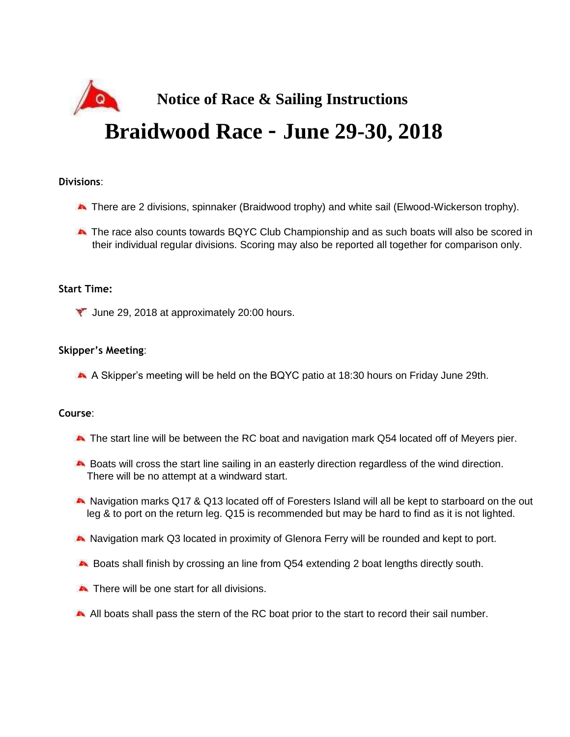

## **Divisions**:

- There are 2 divisions, spinnaker (Braidwood trophy) and white sail (Elwood-Wickerson trophy).
- **A** The race also counts towards BQYC Club Championship and as such boats will also be scored in their individual regular divisions. Scoring may also be reported all together for comparison only.

# **Start Time:**

**T** June 29, 2018 at approximately 20:00 hours.

## **Skipper's Meeting**:

A Skipper's meeting will be held on the BQYC patio at 18:30 hours on Friday June 29th.

#### **Course**:

- The start line will be between the RC boat and navigation mark Q54 located off of Meyers pier.
- Boats will cross the start line sailing in an easterly direction regardless of the wind direction. There will be no attempt at a windward start.
- Navigation marks Q17 & Q13 located off of Foresters Island will all be kept to starboard on the out leg & to port on the return leg. Q15 is recommended but may be hard to find as it is not lighted.
- Navigation mark Q3 located in proximity of Glenora Ferry will be rounded and kept to port.
- Boats shall finish by crossing an line from Q54 extending 2 boat lengths directly south.
- There will be one start for all divisions.
- All boats shall pass the stern of the RC boat prior to the start to record their sail number.